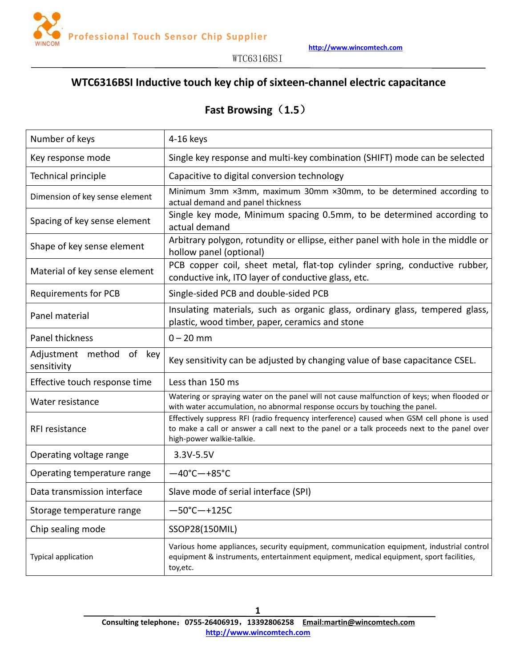

# **WTC6316BSI Inductive touch key chip ofsixteen-channel electric capacitance**

# **Fast Browsing**(**1.5**)

| Number of keys                             | 4-16 keys                                                                                                                                                                                                              |  |  |
|--------------------------------------------|------------------------------------------------------------------------------------------------------------------------------------------------------------------------------------------------------------------------|--|--|
| Key response mode                          | Single key response and multi-key combination (SHIFT) mode can be selected                                                                                                                                             |  |  |
| Technical principle                        | Capacitive to digital conversion technology                                                                                                                                                                            |  |  |
| Dimension of key sense element             | Minimum 3mm ×3mm, maximum 30mm ×30mm, to be determined according to<br>actual demand and panel thickness                                                                                                               |  |  |
| Spacing of key sense element               | Single key mode, Minimum spacing 0.5mm, to be determined according to<br>actual demand                                                                                                                                 |  |  |
| Shape of key sense element                 | Arbitrary polygon, rotundity or ellipse, either panel with hole in the middle or<br>hollow panel (optional)                                                                                                            |  |  |
| Material of key sense element              | PCB copper coil, sheet metal, flat-top cylinder spring, conductive rubber,<br>conductive ink, ITO layer of conductive glass, etc.                                                                                      |  |  |
| <b>Requirements for PCB</b>                | Single-sided PCB and double-sided PCB                                                                                                                                                                                  |  |  |
| Panel material                             | Insulating materials, such as organic glass, ordinary glass, tempered glass,<br>plastic, wood timber, paper, ceramics and stone                                                                                        |  |  |
| Panel thickness                            | $0 - 20$ mm                                                                                                                                                                                                            |  |  |
| Adjustment method<br>of key<br>sensitivity | Key sensitivity can be adjusted by changing value of base capacitance CSEL.                                                                                                                                            |  |  |
| Effective touch response time              | Less than 150 ms                                                                                                                                                                                                       |  |  |
| Water resistance                           | Watering or spraying water on the panel will not cause malfunction of keys; when flooded or<br>with water accumulation, no abnormal response occurs by touching the panel.                                             |  |  |
| RFI resistance                             | Effectively suppress RFI (radio frequency interference) caused when GSM cell phone is used<br>to make a call or answer a call next to the panel or a talk proceeds next to the panel over<br>high-power walkie-talkie. |  |  |
| Operating voltage range                    | 3.3V-5.5V                                                                                                                                                                                                              |  |  |
| Operating temperature range                | $-40^{\circ}$ C $-+85^{\circ}$ C                                                                                                                                                                                       |  |  |
| Data transmission interface                | Slave mode of serial interface (SPI)                                                                                                                                                                                   |  |  |
| Storage temperature range                  | $-50^{\circ}$ C $-+125C$                                                                                                                                                                                               |  |  |
| Chip sealing mode                          | SSOP28(150MIL)                                                                                                                                                                                                         |  |  |
| Typical application                        | Various home appliances, security equipment, communication equipment, industrial control<br>equipment & instruments, entertainment equipment, medical equipment, sport facilities,<br>toy, etc.                        |  |  |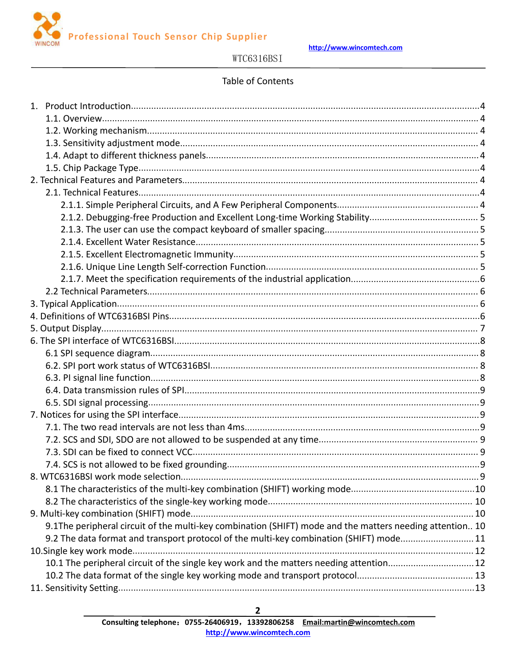

http://www.wincomtech.com

# WTC6316BSI

## Table of Contents

|                                                                                                          | . 9 |
|----------------------------------------------------------------------------------------------------------|-----|
|                                                                                                          |     |
|                                                                                                          |     |
|                                                                                                          |     |
| 9.1The peripheral circuit of the multi-key combination (SHIFT) mode and the matters needing attention 10 |     |
| 9.2 The data format and transport protocol of the multi-key combination (SHIFT) mode11                   |     |
|                                                                                                          |     |
| 10.1 The peripheral circuit of the single key work and the matters needing attention 12                  |     |
|                                                                                                          |     |
|                                                                                                          |     |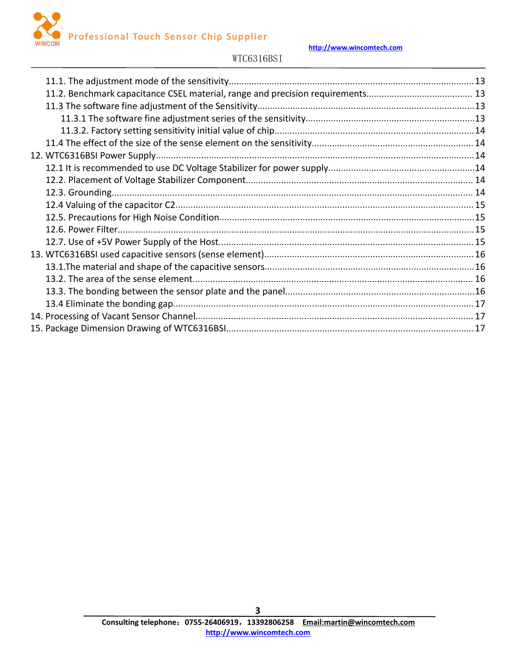

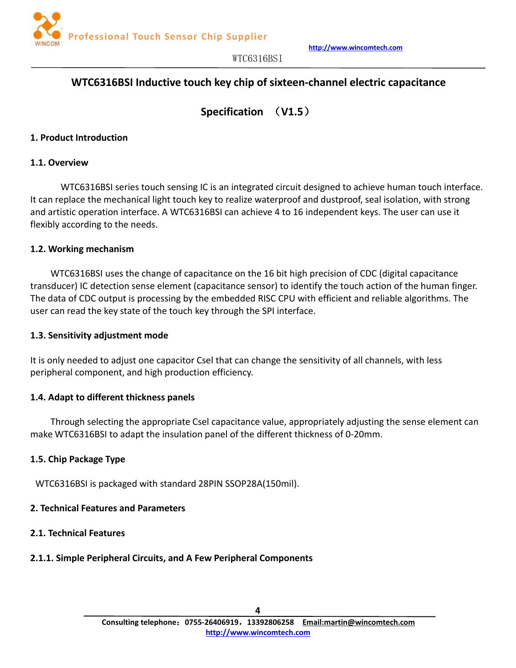

# <span id="page-3-1"></span><span id="page-3-0"></span>**WTC6316BSI Inductive touch key chip ofsixteen-channel electric capacitance**

**Specification** (**V1.5**)

#### **1. Product Introduction**

#### **1.1. Overview**

WTC6316BSI series touch sensing IC is an integrated circuit designed to achieve human touch interface. It can replace the mechanical light touch key to realize waterproof and dustproof, seal isolation, with strong and artistic operation interface. A WTC6316BSI can achieve 4 to 16 independent keys. The user can use it flexibly according to the needs.

#### **1.2. Working mechanism**

WTC6316BSI uses the change of capacitance on the 16 bit high precision of CDC (digital capacitance transducer) IC detection sense element (capacitance sensor) to identify the touch action of the human finger. The data of CDC output is processing by the embedded RISC CPU with efficient and reliable algorithms. The user can read the key state of the touch key through the SPI interface.

#### **1.3. Sensitivity adjustment mode**

It is only needed to adjust one capacitor Csel that can change the sensitivity of all channels, with less peripheral component, and high production efficiency.

#### **1.4. Adapt to different thickness panels**

Through selecting the appropriate Csel capacitance value, appropriately adjusting the sense element can make WTC6316BSI to adapt the insulation panel of the different thickness of 0-20mm.

## **1.5. Chip Package Type**

WTC6316BSI is packaged with standard 28PIN SSOP28A(150mil).

#### **2. Technical Features and Parameters**

#### **2.1. Technical Features**

# **2.1.1. Simple Peripheral Circuits, and A Few Peripheral Components**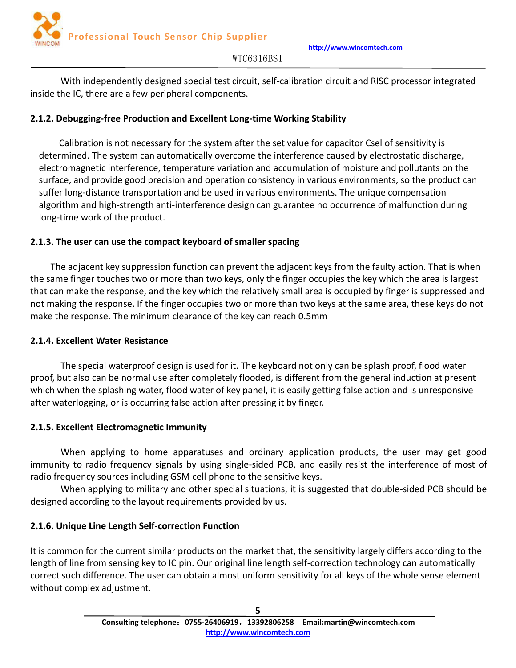

<span id="page-4-0"></span>With independently designed special test circuit, self-calibration circuit and RISC processor integrated inside the IC, there are a few peripheral components.

# **2.1.2. Debugging-free Production and Excellent Long-time Working Stability**

Calibration is not necessary for the system after the set value for capacitor Csel of sensitivity is determined. The system can automatically overcome the interference caused by electrostatic discharge, electromagnetic interference, temperature variation and accumulation of moisture and pollutants on the surface, and provide good precision and operation consistency in various environments, so the product can suffer long-distance transportation and be used in various environments. The unique compensation algorithm and high-strength anti-interference design can guarantee no occurrence of malfunction during long-time work of the product.

# **2.1.3. The user can use the compact keyboard of smaller spacing**

The adjacent key suppression function can prevent the adjacent keys from the faulty action. That is when the same finger touches two or more than two keys, only the finger occupies the key which the area is largest that can make the response, and the key which the relatively small area is occupied by finger is suppressed and not making the response. If the finger occupies two or more than two keys at the same area, these keys do not make the response. The minimum clearance of the key can reach 0.5mm

# **2.1.4. Excellent Water Resistance**

The special waterproof design is used for it. The keyboard not only can be splash proof, flood water proof, but also can be normal use after completely flooded, is different from the general induction at present which when the splashing water, flood water of key panel, it is easily getting false action and is unresponsive after waterlogging, or is occurring false action after pressing it by finger.

# **2.1.5. Excellent Electromagnetic Immunity**

When applying to home apparatuses and ordinary application products, the user may get good immunity to radio frequency signals by using single-sided PCB, and easily resist the interference of most of radio frequency sources including GSM cell phone to the sensitive keys.

When applying to military and other special situations, it is suggested that double-sided PCB should be designed according to the layout requirements provided by us.

# **2.1.6. Unique Line Length Self-correction Function**

It is common for the current similar products on the market that, the sensitivity largely differs according to the length of line from sensing key to IC pin. Our original line length self-correction technology can automatically correct such difference. The user can obtain almost uniform sensitivity for all keys of the whole sense element without complex adjustment.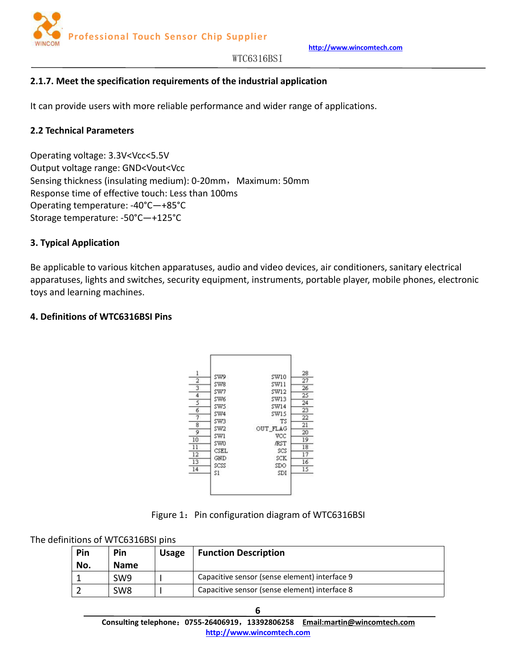

## <span id="page-5-0"></span>**2.1.7. Meet the specification requirements of the industrial application**

It can provide users with more reliable performance and wider range of applications.

#### **2.2 Technical Parameters**

Operating voltage: 3.3V<Vcc<5.5V Output voltage range: GND<Vout<Vcc Sensing thickness (insulating medium): 0-20mm, Maximum: 50mm Response time of effective touch: Less than 100ms Operating temperature: -40°C—+85°C Storage temperature: -50°C—+125°C

#### **3. Typical Application**

Be applicable to various kitchen apparatuses, audio and video devices, air conditioners, sanitary electrical apparatuses, lights and switches, security equipment, instruments, portable player, mobile phones, electronic toys and learning machines.

#### **4. Definitions of WTC6316BSI Pins**



Figure 1: Pin configuration diagram of WTC6316BSI

The definitions of WTC6316BSI pins

| Pin<br>No. | Pin<br><b>Name</b> | <b>Usage</b> | <b>Function Description</b>                   |
|------------|--------------------|--------------|-----------------------------------------------|
|            | SW9                |              | Capacitive sensor (sense element) interface 9 |
|            | SW8                |              | Capacitive sensor (sense element) interface 8 |

**Consulting telephone**:**0755-26406919**,**13392806258 Email:martin@wincomtech.com http://www.wincomtech.com**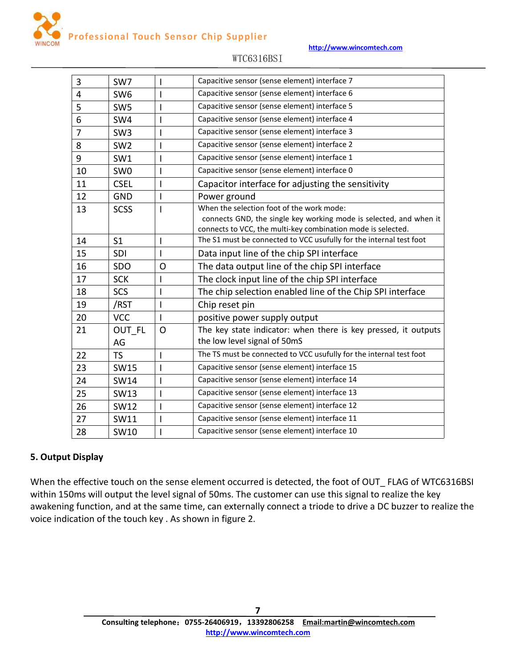**http://www.wincomtech.com**

<span id="page-6-0"></span>

| $\overline{3}$ | SW7             | T            | Capacitive sensor (sense element) interface 7                                                                                                                                   |  |  |
|----------------|-----------------|--------------|---------------------------------------------------------------------------------------------------------------------------------------------------------------------------------|--|--|
| 4              | SW <sub>6</sub> |              | Capacitive sensor (sense element) interface 6                                                                                                                                   |  |  |
| 5              | SW <sub>5</sub> |              | Capacitive sensor (sense element) interface 5                                                                                                                                   |  |  |
| 6              | SW4             |              | Capacitive sensor (sense element) interface 4                                                                                                                                   |  |  |
| $\overline{7}$ | SW <sub>3</sub> | I            | Capacitive sensor (sense element) interface 3                                                                                                                                   |  |  |
| 8              | SW <sub>2</sub> |              | Capacitive sensor (sense element) interface 2                                                                                                                                   |  |  |
| 9              | SW1             |              | Capacitive sensor (sense element) interface 1                                                                                                                                   |  |  |
| 10             | SW <sub>0</sub> | T            | Capacitive sensor (sense element) interface 0                                                                                                                                   |  |  |
| 11             | <b>CSEL</b>     | $\mathsf{I}$ | Capacitor interface for adjusting the sensitivity                                                                                                                               |  |  |
| 12             | <b>GND</b>      | T            | Power ground                                                                                                                                                                    |  |  |
| 13             | <b>SCSS</b>     |              | When the selection foot of the work mode:<br>connects GND, the single key working mode is selected, and when it<br>connects to VCC, the multi-key combination mode is selected. |  |  |
| 14             | S <sub>1</sub>  | $\mathsf{l}$ | The S1 must be connected to VCC usufully for the internal test foot                                                                                                             |  |  |
| 15             | SDI             |              | Data input line of the chip SPI interface                                                                                                                                       |  |  |
| 16             | SDO             | $\Omega$     | The data output line of the chip SPI interface                                                                                                                                  |  |  |
| 17             | <b>SCK</b>      | $\mathsf I$  | The clock input line of the chip SPI interface                                                                                                                                  |  |  |
| 18             | <b>SCS</b>      | $\mathsf I$  | The chip selection enabled line of the Chip SPI interface                                                                                                                       |  |  |
| 19             | /RST            |              | Chip reset pin                                                                                                                                                                  |  |  |
| 20             | <b>VCC</b>      | $\mathbf{I}$ | positive power supply output                                                                                                                                                    |  |  |
| 21             | OUT FL<br>AG    | $\Omega$     | The key state indicator: when there is key pressed, it outputs<br>the low level signal of 50mS                                                                                  |  |  |
| 22             | <b>TS</b>       | $\mathsf{I}$ | The TS must be connected to VCC usufully for the internal test foot                                                                                                             |  |  |
| 23             | <b>SW15</b>     |              | Capacitive sensor (sense element) interface 15                                                                                                                                  |  |  |
| 24             | <b>SW14</b>     |              | Capacitive sensor (sense element) interface 14                                                                                                                                  |  |  |
| 25             | <b>SW13</b>     | 1            | Capacitive sensor (sense element) interface 13                                                                                                                                  |  |  |
| 26             | <b>SW12</b>     | $\mathsf{l}$ | Capacitive sensor (sense element) interface 12                                                                                                                                  |  |  |
| 27             | SW11            |              | Capacitive sensor (sense element) interface 11                                                                                                                                  |  |  |
| 28             | <b>SW10</b>     |              | Capacitive sensor (sense element) interface 10                                                                                                                                  |  |  |
|                |                 |              |                                                                                                                                                                                 |  |  |

## WTC6316BSI

## **5. Output Display**

When the effective touch on the sense element occurred is detected, the foot of OUT\_ FLAG of WTC6316BSI within 150ms will output the level signal of 50ms. The customer can use this signal to realize the key awakening function, and at the same time, can externally connect a triode to drive a DC buzzer to realize the voice indication of the touch key . As shown in figure 2.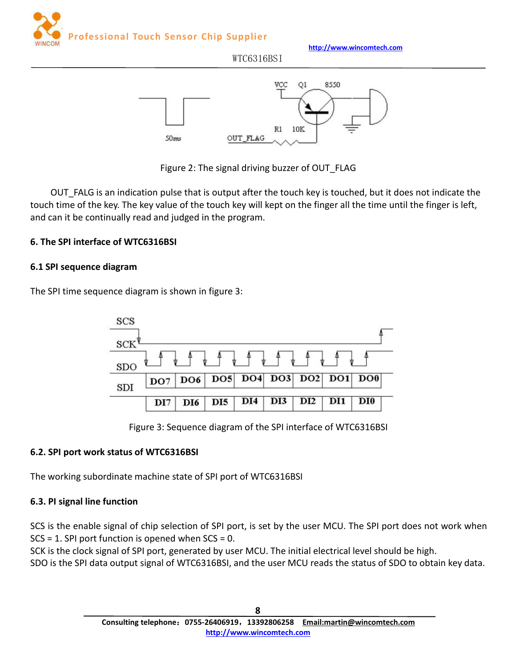50ms

<span id="page-7-0"></span>

**http://www.wincomtech.com**



R1

10K

WTC6316BSI

Figure 2: The signal driving buzzer of OUT\_FLAG

OUT\_FLAG

OUT\_FALG is an indication pulse that is output after the touch key is touched, but it does not indicate the touch time of the key. The key value of the touch key will kept on the finger all the time until the finger is left, and can it be continually read and judged in the program.

# **6. The SPI interface of WTC6316BSI**

## **6.1 SPI sequence diagram**

The SPI time sequence diagram is shown in figure 3:



Figure 3: Sequence diagram of the SPI interface of WTC6316BSI

## **6.2. SPI port work status of WTC6316BSI**

The working subordinate machine state of SPI port of WTC6316BSI

# **6.3. PI signal line function**

SCS is the enable signal of chip selection of SPI port, is set by the user MCU. The SPI port does not work when SCS = 1. SPI port function is opened when SCS = 0.

SCK is the clock signal of SPI port, generated by user MCU. The initial electrical level should be high.

SDO is the SPI data output signal of WTC6316BSI, and the user MCU reads the status of SDO to obtain key data.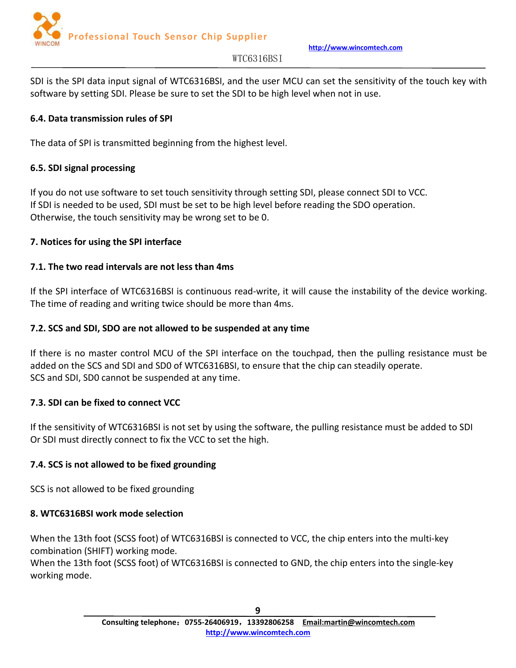

**http://www.wincomtech.com**

#### WTC6316BSI

<span id="page-8-0"></span>SDI is the SPI data input signal of WTC6316BSI, and the user MCU can set the sensitivity of the touch key with software by setting SDI. Please be sure to set the SDI to be high level when not in use.

## **6.4. Data transmission rules of SPI**

The data of SPI is transmitted beginning from the highest level.

## **6.5. SDI signal processing**

If you do not use software to set touch sensitivity through setting SDI, please connect SDIto VCC. If SDI is needed to be used, SDI must be set to be high level before reading the SDO operation. Otherwise, the touch sensitivity may be wrong set to be 0.

## **7. Notices for using the SPI interface**

## **7.1. The two read intervals are not less than 4ms**

If the SPI interface of WTC6316BSI is continuous read-write, it will cause the instability of the device working. The time of reading and writing twice should be more than 4ms.

## **7.2. SCS and SDI, SDO are not allowed to be suspended at any time**

If there is no master control MCU of the SPI interface on the touchpad, then the pulling resistance must be added on the SCS and SDI and SD0 of WTC6316BSI, to ensure that the chip can steadily operate. SCS and SDI, SD0 cannot be suspended at any time.

# **7.3. SDI can be fixed to connect VCC**

If the sensitivity of WTC6316BSI is not set by using the software, the pulling resistance must be added to SDI Or SDI must directly connect to fix the VCC to set the high.

# **7.4. SCS is not allowed to be fixed grounding**

SCS is not allowed to be fixed grounding

# **8. WTC6316BSI work mode selection**

When the 13th foot (SCSS foot) of WTC6316BSI is connected to VCC, the chip enters into the multi-key combination (SHIFT) working mode.

When the 13th foot (SCSS foot) of WTC6316BSI is connected to GND, the chip enters into the single-key working mode.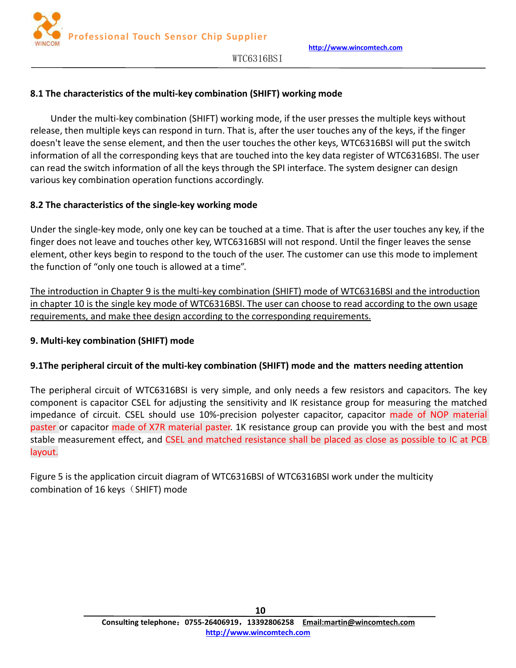

## <span id="page-9-0"></span>**8.1 The characteristics of the multi-key combination (SHIFT) working mode**

Under the multi-key combination (SHIFT) working mode, if the user presses the multiple keys without release, then multiple keys can respond in turn. That is, after the user touches any of the keys, if the finger doesn't leave the sense element, and then the user touches the other keys, WTC6316BSI will put the switch information of all the corresponding keys that are touched into the key data register of WTC6316BSI. The user can read the switch information of all the keys through the SPI interface. The system designer can design various key combination operation functions accordingly.

## **8.2 The characteristics of the single-key working mode**

Under the single-key mode, only one key can be touched at a time. That is after the user touches any key, if the finger does not leave and touches other key, WTC6316BSI will not respond. Until the finger leaves the sense element, other keys begin to respond to the touch of the user. The customer can use this mode to implement the function of "only one touch is allowed at a time".

The introduction in Chapter 9 is the multi-key combination (SHIFT) mode of WTC6316BSI and the introduction in chapter 10 is the single key mode of WTC6316BSI. The user can choose to read according to the own usage requirements, and make thee design according to the corresponding requirements.

## **9. Multi-key combination (SHIFT) mode**

## **9.1The peripheral circuit of the multi-key combination (SHIFT) mode and the matters needing attention**

The peripheral circuit of WTC6316BSI is very simple, and only needs a few resistors and capacitors. The key component is capacitor CSEL for adjusting the sensitivity and IK resistance group for measuring the matched impedance of circuit. CSEL should use 10%-precision polyester capacitor, capacitor made of NOP material paster or capacitor made of X7R material paster. 1K resistance group can provide you with the best and most stable measurement effect, and CSEL and matched resistance shall be placed as close as possible to IC at PCB layout.

Figure 5 is the application circuit diagram of WTC6316BSI of WTC6316BSI work under the multicity combination of 16 keys $(SHIFT)$  mode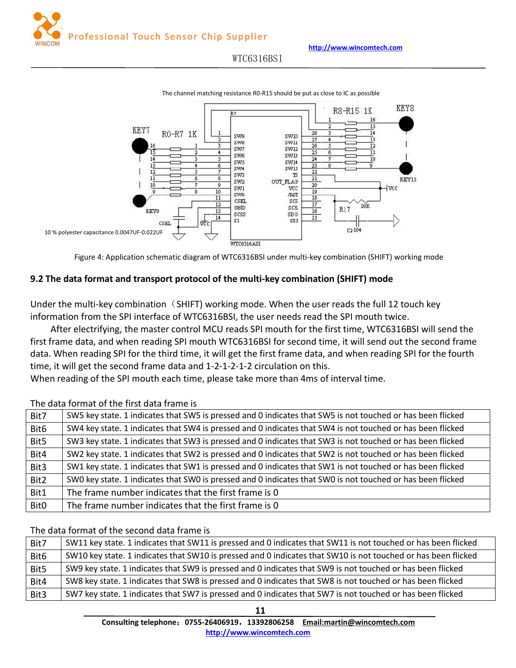**http://www.wincomtech.com**

WTC6316BSI

<span id="page-10-0"></span>

The channel matching resistance R0-R15 should be put as close to IC as possible

Figure 4: Application schematic diagram of WTC6316BSI under multi-key combination (SHIFT) working mode

#### **9.2 The data format and transport protocol of the multi-key combination (SHIFT) mode**

Under the multi-key combination  $(SHIFT)$  working mode. When the user reads the full 12 touch key information from the SPI interface of WTC6316BSI, the user needs read the SPI mouth twice.

After electrifying, the master control MCU reads SPI mouth for the first time, WTC6316BSI will send the first frame data, and when reading SPI mouth WTC6316BSI for second time, it will send out the second frame data. When reading SPI for the third time, it will get the first frame data, and when reading SPI for the fourth time, it will get the second frame data and 1-2-1-2-1-2 circulation on this.

When reading of the SPI mouth each time, please take more than 4ms of interval time.

#### The data format of the first data frame is

| Bit7        | SW5 key state. 1 indicates that SW5 is pressed and 0 indicates that SW5 is not touched or has been flicked |
|-------------|------------------------------------------------------------------------------------------------------------|
| Bit6        | SW4 key state. 1 indicates that SW4 is pressed and 0 indicates that SW4 is not touched or has been flicked |
| Bit5        | SW3 key state. 1 indicates that SW3 is pressed and 0 indicates that SW3 is not touched or has been flicked |
| Bit4        | SW2 key state. 1 indicates that SW2 is pressed and 0 indicates that SW2 is not touched or has been flicked |
| Bit3        | SW1 key state. 1 indicates that SW1 is pressed and 0 indicates that SW1 is not touched or has been flicked |
| Bit2        | SWO key state. 1 indicates that SWO is pressed and 0 indicates that SWO is not touched or has been flicked |
| Bit1        | The frame number indicates that the first frame is 0                                                       |
| <b>Bit0</b> | The frame number indicates that the first frame is 0                                                       |
|             |                                                                                                            |

#### The data format of the second data frame is

| Bit7 | SW11 key state. 1 indicates that SW11 is pressed and 0 indicates that SW11 is not touched or has been flicked |  |
|------|---------------------------------------------------------------------------------------------------------------|--|
| Bit6 | SW10 key state. 1 indicates that SW10 is pressed and 0 indicates that SW10 is not touched or has been flicked |  |
| Bit5 | SW9 key state. 1 indicates that SW9 is pressed and 0 indicates that SW9 is not touched or has been flicked    |  |
| Bit4 | SW8 key state. 1 indicates that SW8 is pressed and 0 indicates that SW8 is not touched or has been flicked    |  |
| Bit3 | SW7 key state. 1 indicates that SW7 is pressed and 0 indicates that SW7 is not touched or has been flicked    |  |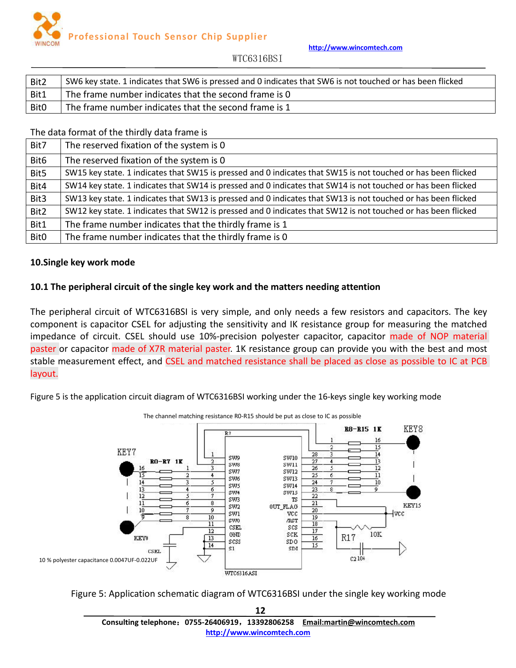**http://www.wincomtech.com**

WTC6316BSI

<span id="page-11-0"></span>

| Bit2             | SW6 key state. 1 indicates that SW6 is pressed and 0 indicates that SW6 is not touched or has been flicked |
|------------------|------------------------------------------------------------------------------------------------------------|
| Bit1             | The frame number indicates that the second frame is 0                                                      |
| Bit <sub>0</sub> | The frame number indicates that the second frame is 1                                                      |

The data format of the thirdly data frame is

| Bit7             | The reserved fixation of the system is 0                                                                      |
|------------------|---------------------------------------------------------------------------------------------------------------|
| Bit <sub>6</sub> | The reserved fixation of the system is 0                                                                      |
| Bit5             | SW15 key state. 1 indicates that SW15 is pressed and 0 indicates that SW15 is not touched or has been flicked |
| Bit4             | SW14 key state. 1 indicates that SW14 is pressed and 0 indicates that SW14 is not touched or has been flicked |
| Bit3             | SW13 key state. 1 indicates that SW13 is pressed and 0 indicates that SW13 is not touched or has been flicked |
| Bit2             | SW12 key state. 1 indicates that SW12 is pressed and 0 indicates that SW12 is not touched or has been flicked |
| Bit1             | The frame number indicates that the thirdly frame is 1                                                        |
| Bit0             | The frame number indicates that the thirdly frame is 0                                                        |

#### **10.Single key work mode**

## **10.1 The peripheral circuit of the single key work and the matters needing attention**

The peripheral circuit of WTC6316BSI is very simple, and only needs a few resistors and capacitors. The key component is capacitor CSEL for adjusting the sensitivity and IK resistance group for measuring the matched impedance of circuit. CSEL should use 10%-precision polyester capacitor, capacitor made of NOP material paster or capacitor made of X7R material paster. 1K resistance group can provide you with the best and most stable measurement effect, and CSEL and matched resistance shall be placed as close as possible to IC at PCB layout.

Figure 5 is the application circuit diagram of WTC6316BSI working under the 16-keys single key working mode



The channel matching resistance R0-R15 should be put as close to IC as possible

Figure 5: Application schematic diagram of WTC6316BSI under the single key working mode

**12 Consulting telephone**:**0755-26406919**,**13392806258 Email:martin@wincomtech.com http://www.wincomtech.com**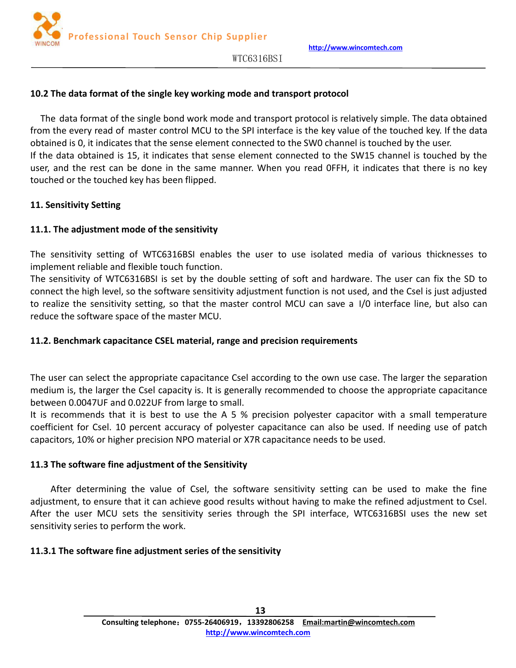

## <span id="page-12-0"></span>**10.2 The data format of the single key working mode and transport protocol**

The data format of the single bond work mode and transport protocol is relatively simple. The data obtained from the every read of master control MCU to the SPI interface is the key value of the touched key. If the data obtained is 0, it indicates that the sense element connected to the SW0 channel is touched by the user. If the data obtained is 15, it indicates that sense element connected to the SW15 channel is touched by the user, and the rest can be done in the same manner. When you read OFFH, it indicates that there is no key touched or the touched key has been flipped.

## **11. Sensitivity Setting**

## **11.1. The adjustment mode of the sensitivity**

The sensitivity setting of WTC6316BSI enables the user to use isolated media of various thicknesses to implement reliable and flexible touch function.

The sensitivity of WTC6316BSI is set by the double setting of soft and hardware. The user can fix the SD to connect the high level, so the software sensitivity adjustment function is not used, and the Csel is just adjusted to realize the sensitivity setting, so that the master control MCU can save a I/0 interface line, but also can reduce the software space of the master MCU.

# **11.2. Benchmark capacitance CSEL material, range and precision requirements**

The user can select the appropriate capacitance Csel according to the own use case. The larger the separation medium is, the larger the Csel capacity is. It is generally recommended to choose the appropriate capacitance between 0.0047UF and 0.022UF from large to small.

It is recommends that it is best to use the A 5 % precision polyester capacitor with a small temperature coefficient for Csel. 10 percent accuracy of polyester capacitance can also be used. If needing use of patch capacitors, 10% or higher precision NPO materialor X7R capacitance needs to be used.

## **11.3 The software fine adjustment of the Sensitivity**

After determining the value of Csel, the software sensitivity setting can be used to make the fine adjustment, to ensure that it can achieve good results without having to make the refined adjustment to Csel. After the user MCU sets the sensitivity series through the SPI interface, WTC6316BSI uses the new set sensitivity series to perform the work.

# **11.3.1 The software fine adjustment series of the sensitivity**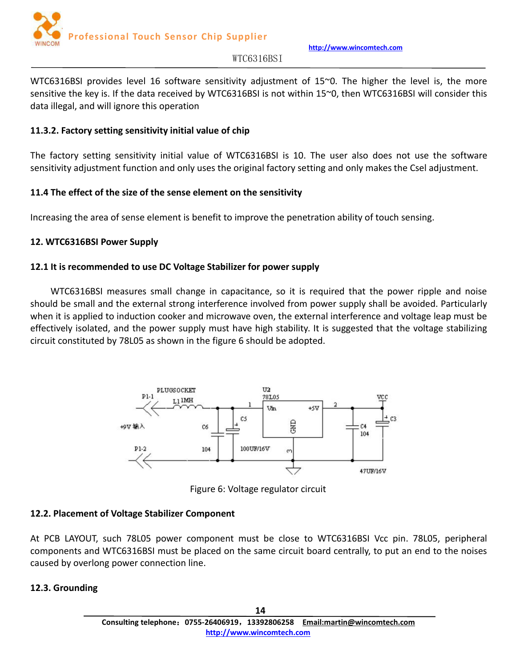

**http://www.wincomtech.com**

#### WTC6316BSI

<span id="page-13-0"></span>WTC6316BSI provides level 16 software sensitivity adjustment of 15~0. The higher the level is, the more sensitive the key is. If the data received by WTC6316BSI is not within 15~0, then WTC6316BSI will consider this data illegal, and will ignore this operation

## **11.3.2. Factory setting sensitivity initial value of chip**

The factory setting sensitivity initial value of WTC6316BSI is 10. The user also does not use the software sensitivity adjustment function and only uses the original factory setting and only makes the Csel adjustment.

## **11.4 The effect of the size of the sense element on the sensitivity**

Increasing the area of sense element is benefit to improve the penetration ability of touch sensing.

## **12. WTC6316BSI Power Supply**

## **12.1 It is recommended to use DC Voltage Stabilizer for power supply**

WTC6316BSI measures small change in capacitance, so it is required that the power ripple and noise should be small and the external strong interference involved from power supply shall be avoided. Particularly when it is applied to induction cooker and microwave oven, the external interference and voltage leap must be effectively isolated, and the power supply must have high stability. It is suggested that the voltage stabilizing circuit constituted by 78L05 as shown in the figure 6 should be adopted.



Figure 6: Voltage regulator circuit

## **12.2. Placement of Voltage Stabilizer Component**

At PCB LAYOUT, such 78L05 power component must be close to WTC6316BSI Vcc pin. 78L05, peripheral components and WTC6316BSI must be placed on the same circuit board centrally, to put an end to the noises caused by overlong power connection line.

## **12.3. Grounding**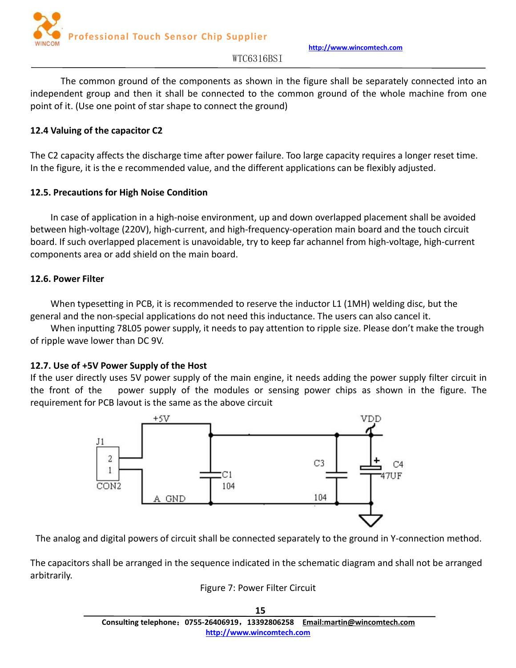

**http://www.wincomtech.com**

## WTC6316BSI

<span id="page-14-0"></span>The common ground of the components as shown in the figure shall be separately connected into an independent group and then it shall be connected to the common ground of the whole machine from one point of it.(Use one point of star shape to connect the ground)

## **12.4 Valuing of the capacitor C2**

The C2 capacity affects the discharge time after power failure. Too large capacity requires a longer reset time. In the figure, it is the e recommended value, and the different applications can be flexibly adjusted.

## **12.5. Precautions for High Noise Condition**

In case of application in a high-noise environment, up and down overlapped placement shall be avoided between high-voltage (220V), high-current, and high-frequency-operation main board and the touch circuit board. If such overlapped placement is unavoidable, try to keep far achannel from high-voltage, high-current components area or add shield on the main board.

## **12.6. Power Filter**

When typesetting in PCB, it is recommended to reserve the inductor L1 (1MH) welding disc, but the general and the non-special applications do not need this inductance. The users can also cancel it.

When inputting 78L05 power supply, it needs to pay attention to ripple size. Please don't make the trough of ripple wave lower than DC 9V.

# **12.7. Use of +5V Power Supply of the Host**

If the user directly uses 5V power supply of the main engine, it needs adding the power supply filter circuit in the front of the power supply of the modules or sensing power chips as shown in the figure. The requirement for PCB layout is the same as the above circuit



The analog and digital powers of circuit shall be connected separately to the ground in Y-connection method.

The capacitors shall be arranged in the sequence indicated in the schematic diagram and shall not be arranged arbitrarily.

#### Figure 7: Power Filter Circuit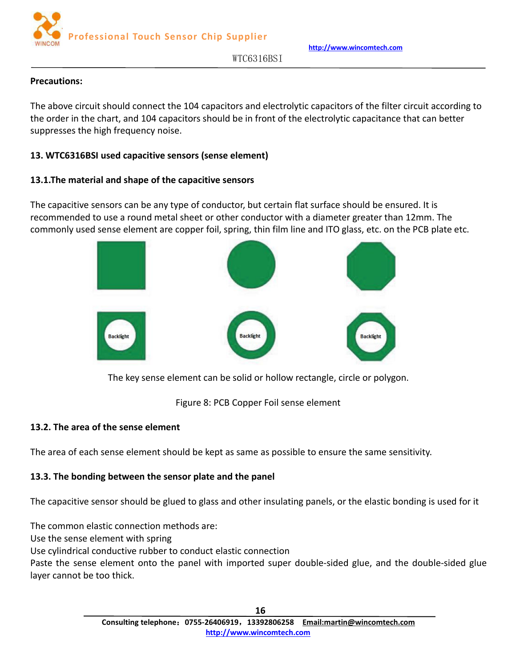**http://www.wincomtech.com**

WTC6316BSI

# <span id="page-15-0"></span>**Precautions:**

The above circuit should connect the 104 capacitors and electrolytic capacitors of the filter circuit according to the order in the chart, and 104 capacitors should be in front of the electrolytic capacitance that can better suppresses the high frequency noise.

# **13. WTC6316BSI used capacitive sensors (sense element)**

# **13.1.The material and shape of the capacitive sensors**

The capacitive sensors can be any type of conductor, but certain flat surface should be ensured. It is recommended to use a round metal sheet or other conductor with a diameter greater than 12mm. The commonly used sense element are copper foil, spring, thin film line and ITO glass, etc. on the PCB plate etc.



The key sense element can be solid or hollow rectangle, circle or polygon.

Figure 8: PCB Copper Foil sense element

# **13.2. The area of the sense element**

The area of each sense element should be kept as same as possible to ensure the same sensitivity.

# **13.3. The bonding between the sensor plate and the panel**

The capacitive sensor should be glued to glass and other insulating panels, or the elastic bonding is used for it

The common elastic connection methods are:

Use the sense element with spring

Use cylindrical conductive rubber to conduct elastic connection

Paste the sense element onto the panel with imported super double-sided glue, and the double-sided glue layer cannot be too thick.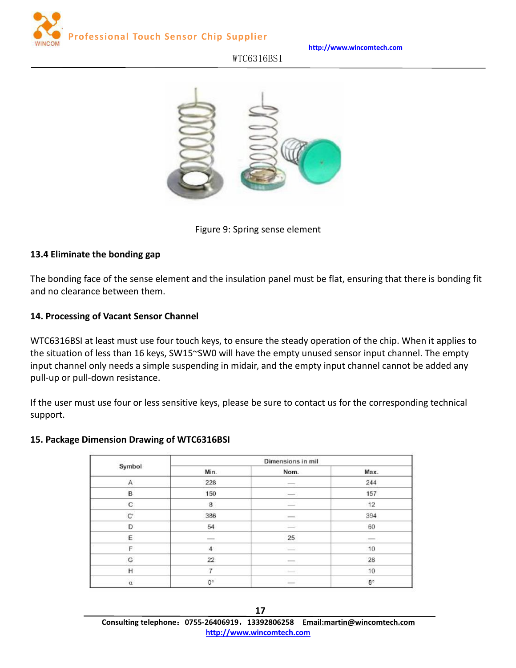<span id="page-16-0"></span>

**http://www.wincomtech.com**

# WTC6316BSI



#### Figure 9: Spring sense element

#### **13.4 Eliminate the bonding gap**

The bonding face of the sense element and the insulation panel must be flat, ensuring that there is bonding fit and no clearance between them.

#### **14. Processing of Vacant Sensor Channel**

WTC6316BSI at least must use four touch keys, to ensure the steady operation of the chip. When it applies to the situation of less than 16 keys, SW15~SW0 will have the empty unused sensor input channel. The empty input channel only needs a simple suspending in midair, and the empty input channel cannot be added any pull-up or pull-down resistance.

If the user must use four or less sensitive keys, please be sure to contact us for the corresponding technical support.

#### **15. Package Dimension Drawing of WTC6316BSI**

| 1959-1   |                                                                                                                                                                                                                                                                                                                                                                                                                                                                            | Dimensions in mil                                                                                                                                                                                                                                                                                                                                                                                                                                                          |               |
|----------|----------------------------------------------------------------------------------------------------------------------------------------------------------------------------------------------------------------------------------------------------------------------------------------------------------------------------------------------------------------------------------------------------------------------------------------------------------------------------|----------------------------------------------------------------------------------------------------------------------------------------------------------------------------------------------------------------------------------------------------------------------------------------------------------------------------------------------------------------------------------------------------------------------------------------------------------------------------|---------------|
| Symbol   | Min.                                                                                                                                                                                                                                                                                                                                                                                                                                                                       | Nom.                                                                                                                                                                                                                                                                                                                                                                                                                                                                       | Max.          |
| Α        | 228                                                                                                                                                                                                                                                                                                                                                                                                                                                                        |                                                                                                                                                                                                                                                                                                                                                                                                                                                                            | 244           |
| в        | 150                                                                                                                                                                                                                                                                                                                                                                                                                                                                        | $\frac{1}{2}$                                                                                                                                                                                                                                                                                                                                                                                                                                                              | 157           |
| C        | 8                                                                                                                                                                                                                                                                                                                                                                                                                                                                          | $\frac{1}{2} \left( \frac{1}{2} \right) \left( \frac{1}{2} \right) \left( \frac{1}{2} \right) \left( \frac{1}{2} \right) \left( \frac{1}{2} \right) \left( \frac{1}{2} \right) \left( \frac{1}{2} \right) \left( \frac{1}{2} \right) \left( \frac{1}{2} \right) \left( \frac{1}{2} \right) \left( \frac{1}{2} \right) \left( \frac{1}{2} \right) \left( \frac{1}{2} \right) \left( \frac{1}{2} \right) \left( \frac{1}{2} \right) \left( \frac{1}{2} \right) \left( \frac$ | 12            |
| Ċ        | 386                                                                                                                                                                                                                                                                                                                                                                                                                                                                        | $-$                                                                                                                                                                                                                                                                                                                                                                                                                                                                        | 394           |
| D        | 54                                                                                                                                                                                                                                                                                                                                                                                                                                                                         | 三                                                                                                                                                                                                                                                                                                                                                                                                                                                                          | 60            |
| E        | $\frac{1}{2} \left( \frac{1}{2} \right) \left( \frac{1}{2} \right) \left( \frac{1}{2} \right) \left( \frac{1}{2} \right) \left( \frac{1}{2} \right) \left( \frac{1}{2} \right) \left( \frac{1}{2} \right) \left( \frac{1}{2} \right) \left( \frac{1}{2} \right) \left( \frac{1}{2} \right) \left( \frac{1}{2} \right) \left( \frac{1}{2} \right) \left( \frac{1}{2} \right) \left( \frac{1}{2} \right) \left( \frac{1}{2} \right) \left( \frac{1}{2} \right) \left( \frac$ | 25                                                                                                                                                                                                                                                                                                                                                                                                                                                                         | $\frac{1}{2}$ |
| F        | 4                                                                                                                                                                                                                                                                                                                                                                                                                                                                          | $\overline{\phantom{a}}$                                                                                                                                                                                                                                                                                                                                                                                                                                                   | 10            |
| G        | 22                                                                                                                                                                                                                                                                                                                                                                                                                                                                         | $\frac{1}{2}$                                                                                                                                                                                                                                                                                                                                                                                                                                                              | 28            |
| Η        | ₩                                                                                                                                                                                                                                                                                                                                                                                                                                                                          | $-$                                                                                                                                                                                                                                                                                                                                                                                                                                                                        | 10            |
| $\alpha$ | $0^\circ$                                                                                                                                                                                                                                                                                                                                                                                                                                                                  | $\frac{1}{2}$                                                                                                                                                                                                                                                                                                                                                                                                                                                              | $8^\circ$     |